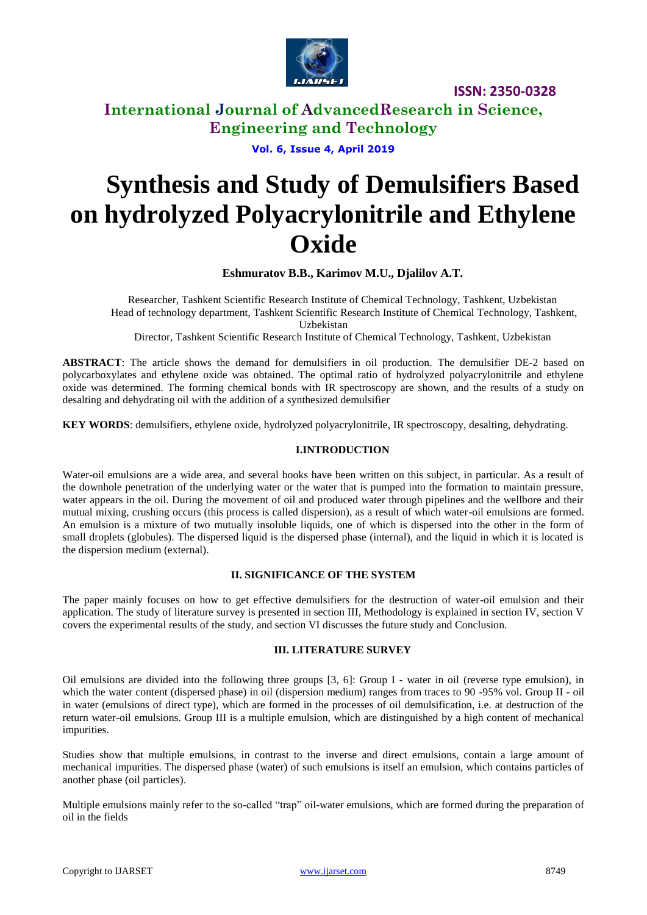

### **International Journal of AdvancedResearch in Science, Engineering and Technology**

**Vol. 6, Issue 4, April 2019**

# **Synthesis and Study of Demulsifiers Based on hydrolyzed Polyacrylonitrile and Ethylene Oxide**

**Eshmuratov B.B., Karimov M.U., Djalilov A.T.**

Researcher, Tashkent Scientific Research Institute of Chemical Technology, Tashkent, Uzbekistan Head of technology department, Tashkent Scientific Research Institute of Chemical Technology, Tashkent, Uzbekistan

Director, Tashkent Scientific Research Institute of Chemical Technology, Tashkent, Uzbekistan

**ABSTRACT**: The article shows the demand for demulsifiers in oil production. The demulsifier DE-2 based on polycarboxylates and ethylene oxide was obtained. The optimal ratio of hydrolyzed polyacrylonitrile and ethylene oxide was determined. The forming chemical bonds with IR spectroscopy are shown, and the results of a study on desalting and dehydrating oil with the addition of a synthesized demulsifier

**KEY WORDS**: demulsifiers, ethylene oxide, hydrolyzed polyacrylonitrile, IR spectroscopy, desalting, dehydrating.

### **I.INTRODUCTION**

Water-oil emulsions are a wide area, and several books have been written on this subject, in particular. As a result of the downhole penetration of the underlying water or the water that is pumped into the formation to maintain pressure, water appears in the oil. During the movement of oil and produced water through pipelines and the wellbore and their mutual mixing, crushing occurs (this process is called dispersion), as a result of which water-oil emulsions are formed. An emulsion is a mixture of two mutually insoluble liquids, one of which is dispersed into the other in the form of small droplets (globules). The dispersed liquid is the dispersed phase (internal), and the liquid in which it is located is the dispersion medium (external).

### **II. SIGNIFICANCE OF THE SYSTEM**

The paper mainly focuses on how to get effective demulsifiers for the destruction of water-oil emulsion and their application. The study of literature survey is presented in section III, Methodology is explained in section IV, section V covers the experimental results of the study, and section VI discusses the future study and Conclusion.

### **III. LITERATURE SURVEY**

Oil emulsions are divided into the following three groups [3, 6]: Group I - water in oil (reverse type emulsion), in which the water content (dispersed phase) in oil (dispersion medium) ranges from traces to 90 -95% vol. Group II - oil in water (emulsions of direct type), which are formed in the processes of oil demulsification, i.e. at destruction of the return water-oil emulsions. Group III is a multiple emulsion, which are distinguished by a high content of mechanical impurities.

Studies show that multiple emulsions, in contrast to the inverse and direct emulsions, contain a large amount of mechanical impurities. The dispersed phase (water) of such emulsions is itself an emulsion, which contains particles of another phase (oil particles).

Multiple emulsions mainly refer to the so-called "trap" oil-water emulsions, which are formed during the preparation of oil in the fields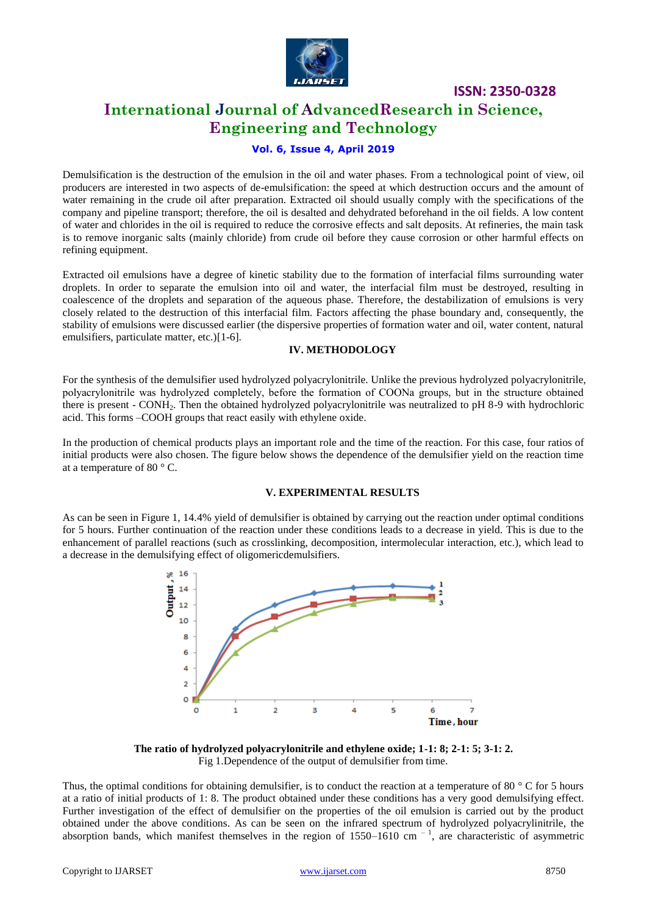

### **International Journal of AdvancedResearch in Science, Engineering and Technology**

### **Vol. 6, Issue 4, April 2019**

Demulsification is the destruction of the emulsion in the oil and water phases. From a technological point of view, oil producers are interested in two aspects of de-emulsification: the speed at which destruction occurs and the amount of water remaining in the crude oil after preparation. Extracted oil should usually comply with the specifications of the company and pipeline transport; therefore, the oil is desalted and dehydrated beforehand in the oil fields. A low content of water and chlorides in the oil is required to reduce the corrosive effects and salt deposits. At refineries, the main task is to remove inorganic salts (mainly chloride) from crude oil before they cause corrosion or other harmful effects on refining equipment.

Extracted oil emulsions have a degree of kinetic stability due to the formation of interfacial films surrounding water droplets. In order to separate the emulsion into oil and water, the interfacial film must be destroyed, resulting in coalescence of the droplets and separation of the aqueous phase. Therefore, the destabilization of emulsions is very closely related to the destruction of this interfacial film. Factors affecting the phase boundary and, consequently, the stability of emulsions were discussed earlier (the dispersive properties of formation water and oil, water content, natural emulsifiers, particulate matter, etc.)[1-6].

#### **IV. METHODOLOGY**

For the synthesis of the demulsifier used hydrolyzed polyacrylonitrile. Unlike the previous hydrolyzed polyacrylonitrile, polyacrylonitrile was hydrolyzed completely, before the formation of СООNa groups, but in the structure obtained there is present - CONH2. Then the obtained hydrolyzed polyacrylonitrile was neutralized to pH 8-9 with hydrochloric acid. This forms –COOH groups that react easily with ethylene oxide.

In the production of chemical products plays an important role and the time of the reaction. For this case, four ratios of initial products were also chosen. The figure below shows the dependence of the demulsifier yield on the reaction time at a temperature of 80 ° C.

### **V. EXPERIMENTAL RESULTS**

As can be seen in Figure 1, 14.4% yield of demulsifier is obtained by carrying out the reaction under optimal conditions for 5 hours. Further continuation of the reaction under these conditions leads to a decrease in yield. This is due to the enhancement of parallel reactions (such as crosslinking, decomposition, intermolecular interaction, etc.), which lead to a decrease in the demulsifying effect of oligomericdemulsifiers.



**The ratio of hydrolyzed polyacrylonitrile and ethylene oxide; 1-1: 8; 2-1: 5; 3-1: 2.** Fig 1.Dependence of the output of demulsifier from time.

Thus, the optimal conditions for obtaining demulsifier, is to conduct the reaction at a temperature of 80  $\degree$  C for 5 hours at a ratio of initial products of 1: 8. The product obtained under these conditions has a very good demulsifying effect. Further investigation of the effect of demulsifier on the properties of the oil emulsion is carried out by the product obtained under the above conditions. As can be seen on the infrared spectrum of hydrolyzed polyacrylinitrile, the absorption bands, which manifest themselves in the region of  $1550-1610$  cm<sup>-1</sup>, are characteristic of asymmetric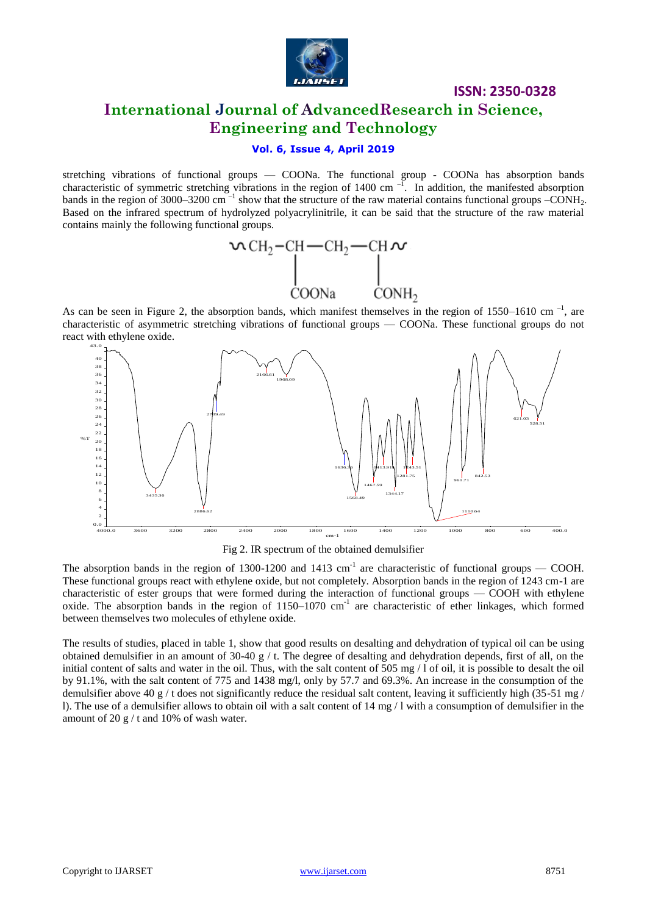

### **International Journal of AdvancedResearch in Science, Engineering and Technology**

### **Vol. 6, Issue 4, April 2019**

stretching vibrations of functional groups — COONa. The functional group - COONa has absorption bands characteristic of symmetric stretching vibrations in the region of 1400 cm $^{-1}$ . In addition, the manifested absorption bands in the region of 3000–3200 cm<sup> $-1$ </sup> show that the structure of the raw material contains functional groups  $-CONH_2$ . Based on the infrared spectrum of hydrolyzed polyacrylinitrile, it can be said that the structure of the raw material contains mainly the following functional groups.



As can be seen in Figure 2, the absorption bands, which manifest themselves in the region of  $1550-1610$  cm<sup>-1</sup>, are characteristic of asymmetric stretching vibrations of functional groups — COONa. These functional groups do not react with ethylene oxide. b<br>eri<br>ith<br>3.0<br>40<br>38



Fig 2. IR spectrum of the obtained demulsifier

The absorption bands in the region of 1300-1200 and 1413  $\text{cm}^{-1}$  are characteristic of functional groups — COOH. These functional groups react with ethylene oxide, but not completely. Absorption bands in the region of 1243 cm-1 are characteristic of ester groups that were formed during the interaction of functional groups — COOH with ethylene oxide. The absorption bands in the region of 1150–1070 cm<sup>-1</sup> are characteristic of ether linkages, which formed between themselves two molecules of ethylene oxide.

The results of studies, placed in table 1, show that good results on desalting and dehydration of typical oil can be using obtained demulsifier in an amount of 30-40 g / t. The degree of desalting and dehydration depends, first of all, on the initial content of salts and water in the oil. Thus, with the salt content of 505 mg / 1 of oil, it is possible to desalt the oil by 91.1%, with the salt content of 775 and 1438 mg/l, only by 57.7 and 69.3%. An increase in the consumption of the demulsifier above 40 g / t does not significantly reduce the residual salt content, leaving it sufficiently high (35-51 mg / l). The use of a demulsifier allows to obtain oil with a salt content of 14 mg / l with a consumption of demulsifier in the amount of 20 g / t and 10% of wash water.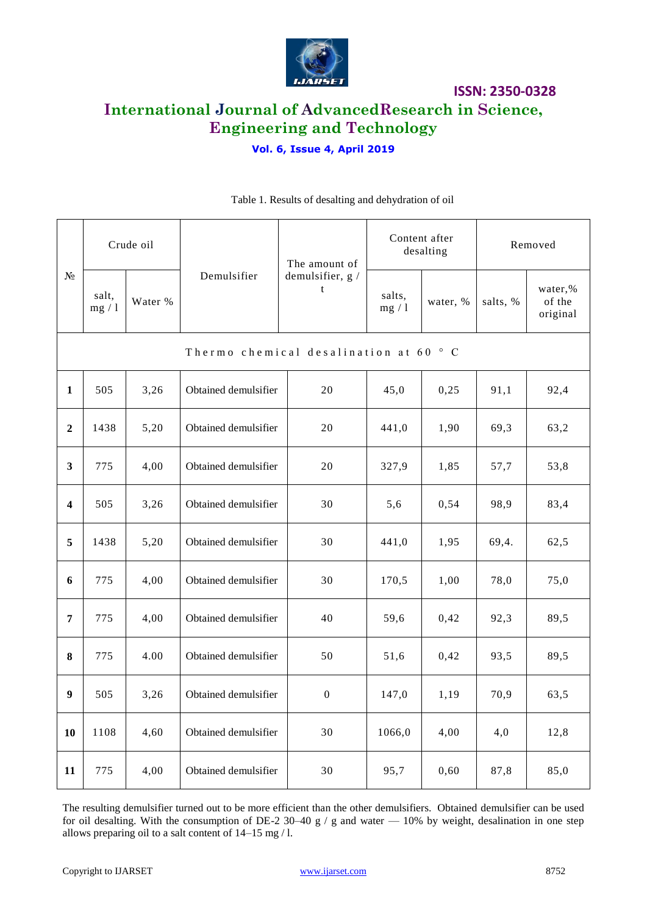

## **International Journal of AdvancedResearch in Science, Engineering and Technology**

### **Vol. 6, Issue 4, April 2019**

| $N_2$                   | Crude oil                             |         |                      | The amount of         | Content after<br>desalting |          | Removed  |                               |  |  |  |  |  |  |  |
|-------------------------|---------------------------------------|---------|----------------------|-----------------------|----------------------------|----------|----------|-------------------------------|--|--|--|--|--|--|--|
|                         | salt,<br>mg/1                         | Water % | Demulsifier          | demulsifier, g /<br>t | salts,<br>mg/1             | water, % | salts, % | water,%<br>of the<br>original |  |  |  |  |  |  |  |
|                         | Thermo chemical desalination at 60 °C |         |                      |                       |                            |          |          |                               |  |  |  |  |  |  |  |
| $\mathbf{1}$            | 505                                   | 3,26    | Obtained demulsifier | 20                    | 45,0                       | 0,25     | 91,1     | 92,4                          |  |  |  |  |  |  |  |
| $\boldsymbol{2}$        | 1438                                  | 5,20    | Obtained demulsifier | 20                    | 441,0                      | 1,90     | 69,3     | 63,2                          |  |  |  |  |  |  |  |
| $\mathbf{3}$            | 775                                   | 4,00    | Obtained demulsifier | 20                    | 327,9                      | 1,85     | 57,7     | 53,8                          |  |  |  |  |  |  |  |
| $\overline{\mathbf{4}}$ | 505                                   | 3,26    | Obtained demulsifier | 30                    | 5,6                        | 0,54     | 98,9     | 83,4                          |  |  |  |  |  |  |  |
| 5                       | 1438                                  | 5,20    | Obtained demulsifier | 30                    | 441,0                      | 1,95     | 69,4.    | 62,5                          |  |  |  |  |  |  |  |
| 6                       | 775                                   | 4,00    | Obtained demulsifier | 30                    | 170,5                      | 1,00     | 78,0     | 75,0                          |  |  |  |  |  |  |  |
| 7                       | 775                                   | 4,00    | Obtained demulsifier | 40                    | 59,6                       | 0,42     | 92,3     | 89,5                          |  |  |  |  |  |  |  |
| 8                       | 775                                   | 4.00    | Obtained demulsifier | 50                    | 51,6                       | 0,42     | 93,5     | 89,5                          |  |  |  |  |  |  |  |
| $\boldsymbol{9}$        | 505                                   | 3,26    | Obtained demulsifier | $\boldsymbol{0}$      | 147,0                      | 1,19     | 70,9     | 63,5                          |  |  |  |  |  |  |  |
| 10                      | 1108                                  | 4,60    | Obtained demulsifier | 30                    | 1066,0                     | 4,00     | 4,0      | 12,8                          |  |  |  |  |  |  |  |
| 11                      | 775                                   | 4,00    | Obtained demulsifier | 30                    | 95,7                       | 0,60     | 87,8     | 85,0                          |  |  |  |  |  |  |  |

### Table 1. Results of desalting and dehydration of oil

The resulting demulsifier turned out to be more efficient than the other demulsifiers. Obtained demulsifier can be used for oil desalting. With the consumption of DE-2 30–40 g / g and water — 10% by weight, desalination in one step allows preparing oil to a salt content of 14–15 mg / l.